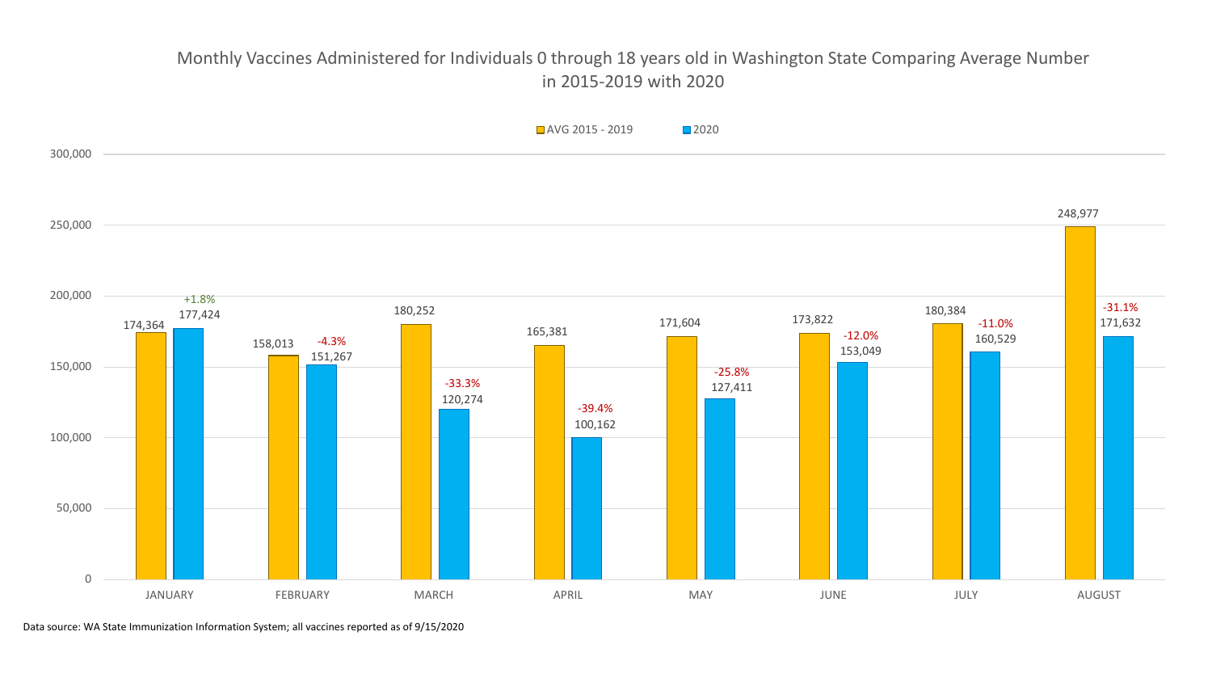## Monthly Vaccines Administered for Individuals 0 through 18 years old in Washington State Comparing Average Number in 2015-2019 with 2020



Data source: WA State Immunization Information System; all vaccines reported as of 9/15/2020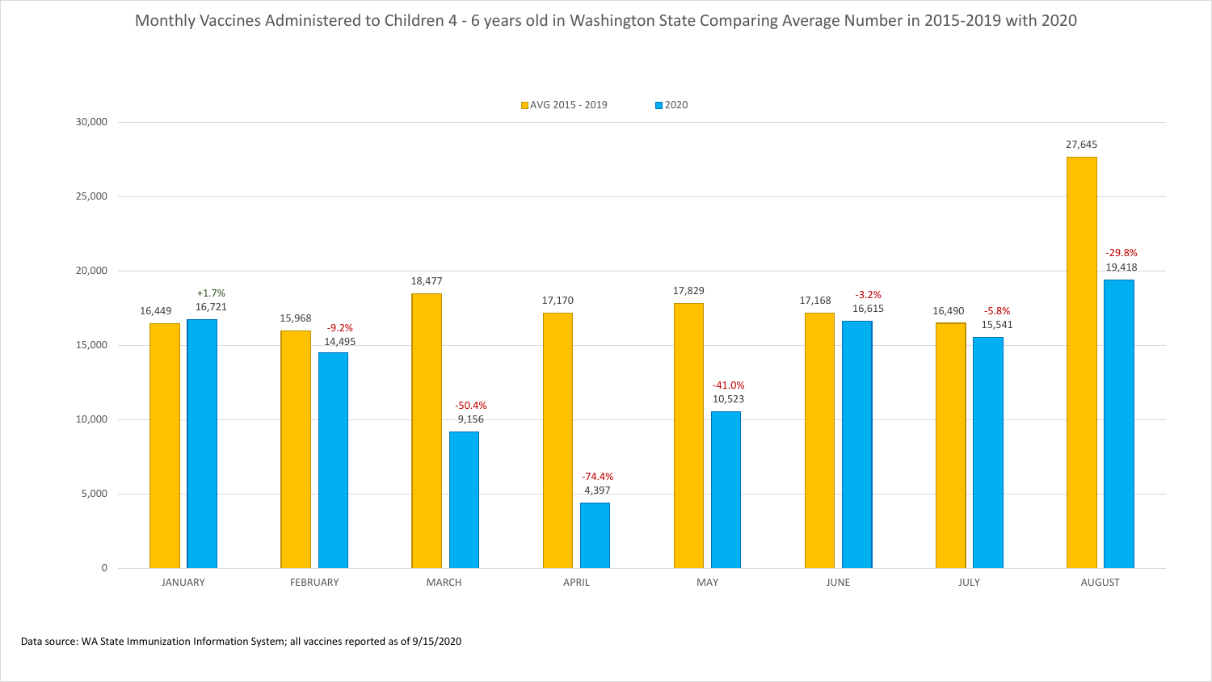Monthly Vaccines Administered to Children 4 - 6 years old in Washington State Comparing Average Number in 2015-2019 with 2020

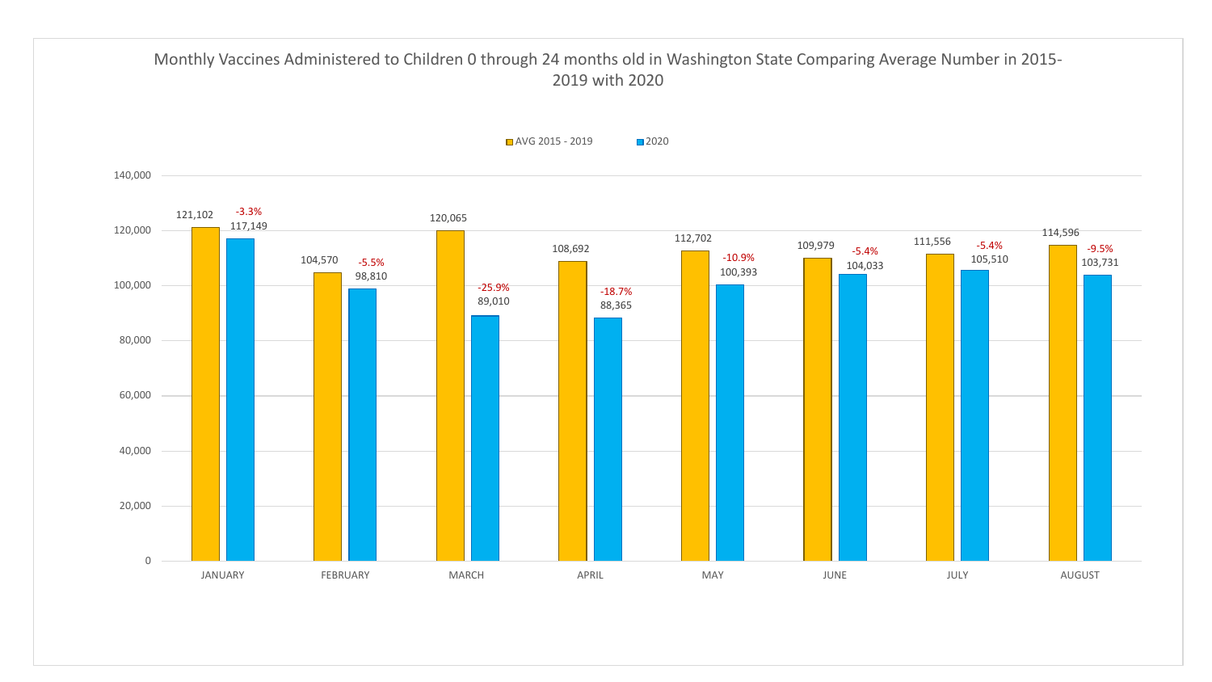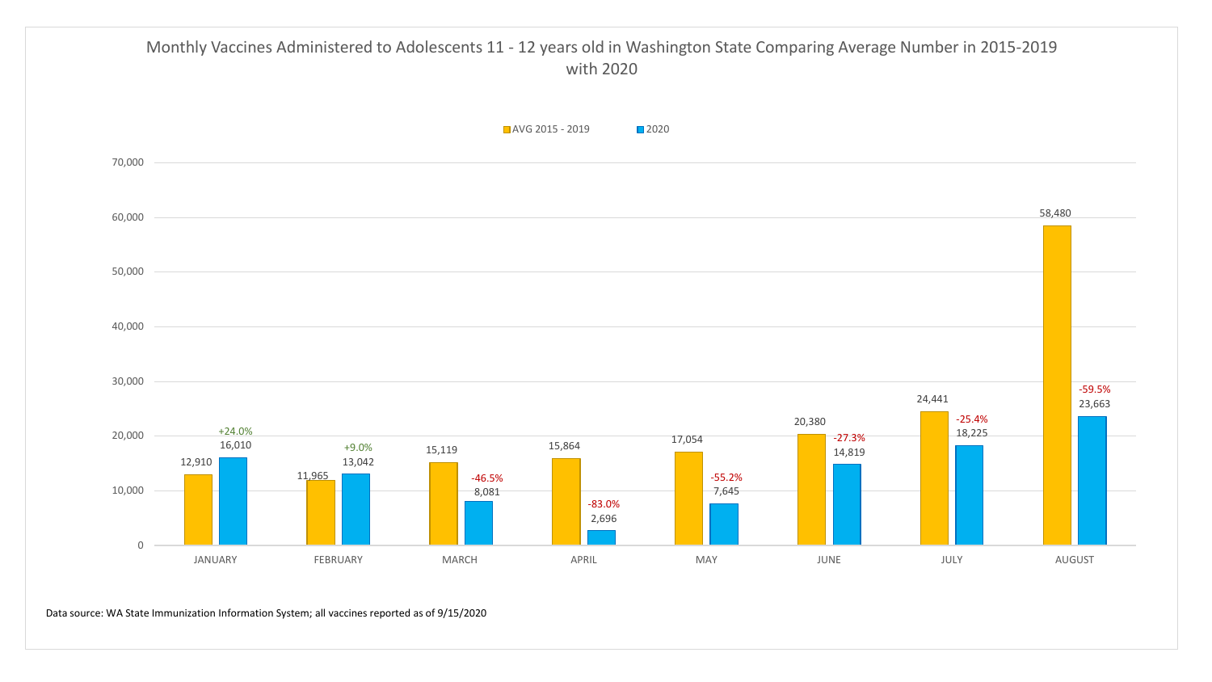

Data source: WA State Immunization Information System; all vaccines reported as of 9/15/2020